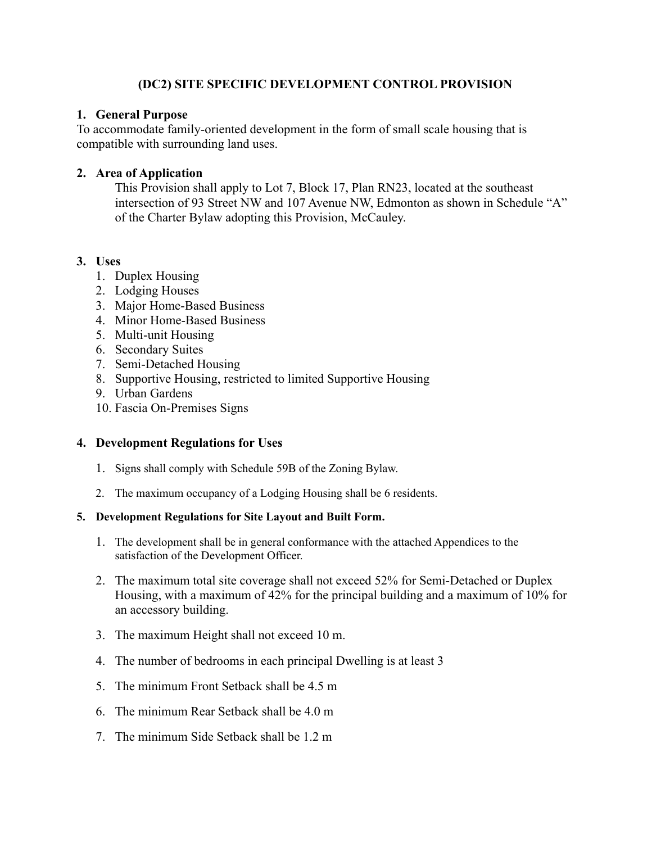### **(DC2) SITE SPECIFIC DEVELOPMENT CONTROL PROVISION**

#### **1. General Purpose**

To accommodate family-oriented development in the form of small scale housing that is compatible with surrounding land uses.

#### **2. Area of Application**

This Provision shall apply to Lot 7, Block 17, Plan RN23, located at the southeast intersection of 93 Street NW and 107 Avenue NW, Edmonton as shown in Schedule "A" of the Charter Bylaw adopting this Provision, McCauley.

# **3. Uses**

- 1. Duplex Housing
- 2. Lodging Houses
- 3. Major Home-Based Business
- 4. Minor Home-Based Business
- 5. Multi-unit Housing
- 6. Secondary Suites
- 7. Semi-Detached Housing
- 8. Supportive Housing, restricted to limited Supportive Housing
- 9. Urban Gardens
- 10. Fascia On-Premises Signs

# **4. Development Regulations for Uses**

- 1. Signs shall comply with Schedule 59B of the Zoning Bylaw.
- 2. The maximum occupancy of a Lodging Housing shall be 6 residents.

#### **5. Development Regulations for Site Layout and Built Form.**

- 1. The development shall be in general conformance with the attached Appendices to the satisfaction of the Development Officer.
- 2. The maximum total site coverage shall not exceed 52% for Semi-Detached or Duplex Housing, with a maximum of 42% for the principal building and a maximum of 10% for an accessory building.
- 3. The maximum Height shall not exceed 10 m.
- 4. The number of bedrooms in each principal Dwelling is at least 3
- 5. The minimum Front Setback shall be 4.5 m
- 6. The minimum Rear Setback shall be 4.0 m
- 7. The minimum Side Setback shall be 1.2 m